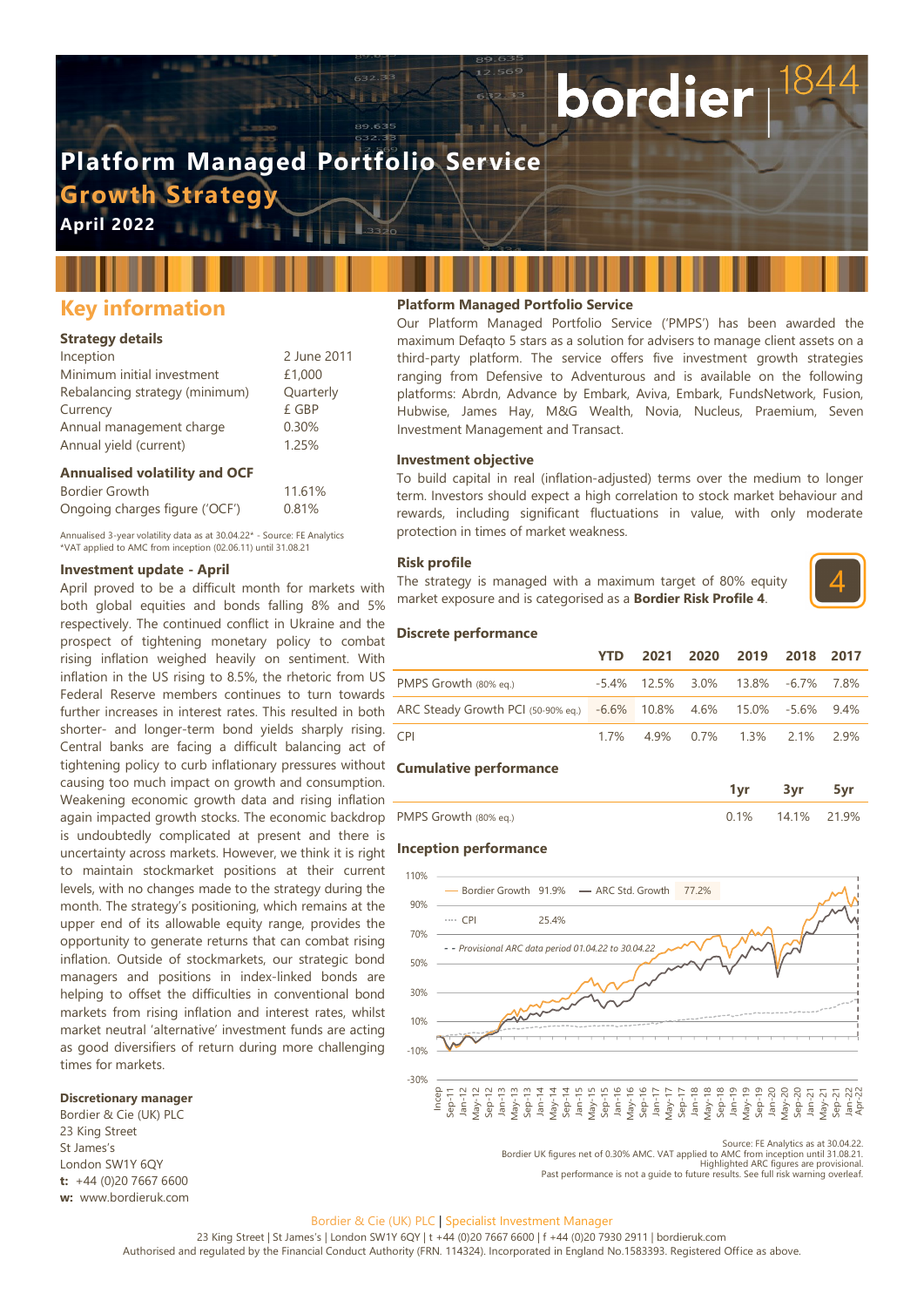# **Platform Managed Portfolio Service**

**Growth Strateg** 

**April 2022**

# **Key information**

## **Strategy details**

| Inception                      | 2 June 2011 |
|--------------------------------|-------------|
| Minimum initial investment     | £1,000      |
| Rebalancing strategy (minimum) | Quarterly   |
| Currency                       | £ GBP       |
| Annual management charge       | 0.30%       |
| Annual yield (current)         | 1.25%       |

## **Annualised volatility and OCF**

| Bordier Growth                 | 11.61% |
|--------------------------------|--------|
| Ongoing charges figure ('OCF') | 0.81%  |

Annualised 3-year volatility data as at 30.04.22\* - Source: FE Analytics \*VAT applied to AMC from inception (02.06.11) until 31.08.21

# **Investment update - April**

April proved to be a difficult month for markets with both global equities and bonds falling 8% and 5% respectively. The continued conflict in Ukraine and the prospect of tightening monetary policy to combat rising inflation weighed heavily on sentiment. With inflation in the US rising to 8.5%, the rhetoric from US Federal Reserve members continues to turn towards further increases in interest rates. This resulted in both shorter- and longer-term bond yields sharply rising. Central banks are facing a difficult balancing act of tightening policy to curb inflationary pressures without causing too much impact on growth and consumption. Weakening economic growth data and rising inflation again impacted growth stocks. The economic backdrop is undoubtedly complicated at present and there is uncertainty across markets. However, we think it is right to maintain stockmarket positions at their current levels, with no changes made to the strategy during the month. The strategy's positioning, which remains at the upper end of its allowable equity range, provides the opportunity to generate returns that can combat rising inflation. Outside of stockmarkets, our strategic bond managers and positions in index-linked bonds are helping to offset the difficulties in conventional bond markets from rising inflation and interest rates, whilst market neutral 'alternative' investment funds are acting as good diversifiers of return during more challenging times for markets.

## **Discretionary manager**

Bordier & Cie (UK) PLC 23 King Street St James's London SW1Y 6QY **t:** +44 (0)20 7667 6600 **w:** www.bordieruk.com

# **Platform Managed Portfolio Service**

Our Platform Managed Portfolio Service ('PMPS') has been awarded the maximum Defaqto 5 stars as a solution for advisers to manage client assets on a third-party platform. The service offers five investment growth strategies ranging from Defensive to Adventurous and is available on the following platforms: Abrdn, Advance by Embark, Aviva, Embark, FundsNetwork, Fusion, Hubwise, James Hay, M&G Wealth, Novia, Nucleus, Praemium, Seven Investment Management and Transact.

bordier

#### **Investment objective**

To build capital in real (inflation-adjusted) terms over the medium to longer term. Investors should expect a high correlation to stock market behaviour and rewards, including significant fluctuations in value, with only moderate protection in times of market weakness.

#### **Risk profile**

The strategy is managed with a maximum target of 80% equity market exposure and is categorised as a **Bordier Risk Profile 4**.



#### **Discrete performance**

|                                                                      | YTD. |  | 2021 2020 2019 2018 2017                |  |
|----------------------------------------------------------------------|------|--|-----------------------------------------|--|
| PMPS Growth (80% eg.)                                                |      |  | $-5.4\%$ 12.5% 3.0% 13.8% $-6.7\%$ 7.8% |  |
| ARC Steady Growth PCI (50-90% eq.) -6.6% 10.8% 4.6% 15.0% -5.6% 9.4% |      |  |                                         |  |
| CPI <sup>-</sup>                                                     |      |  | 1.7% 4.9% 0.7% 1.3% 2.1% 2.9%           |  |

#### **Cumulative performance**

| PMPS Growth (80% eq.) | $\frac{9}{6}$ | $1\%$ | $9\%$ |
|-----------------------|---------------|-------|-------|

#### **Inception performance**



Source: FE Analytics as at 30.04.22. Bordier UK figures net of 0.30% AMC. VAT applied to AMC from inception until 31.08.21. Highlighted ARC figures are provisional.

Past performance is not a guide to future results. See full risk warning overleaf.

#### Bordier & Cie (UK) PLC | Specialist Investment Manager

23 King Street | St James's | London SW1Y 6QY | t +44 (0)20 7667 6600 | f +44 (0)20 7930 2911 | bordieruk.com Authorised and regulated by the Financial Conduct Authority (FRN. 114324). Incorporated in England No.1583393. Registered Office as above.